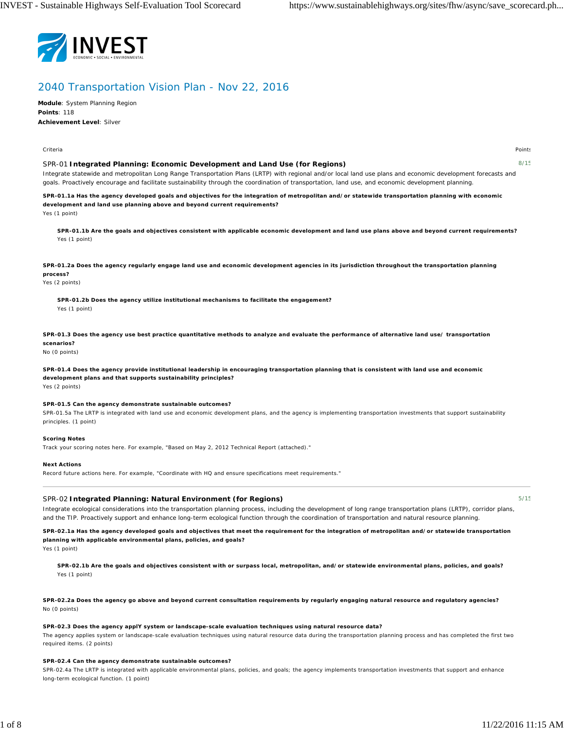

# 2040 Transportation Vision Plan - Nov 22, 2016

**Module**: System Planning Region **Points**: 118 **Achievement Level**: Silver

Criteria Points

## SPR-01 **Integrated Planning: Economic Development and Land Use (for Regions)**

8/15

Integrate statewide and metropolitan Long Range Transportation Plans (LRTP) with regional and/or local land use plans and economic development forecasts and goals. Proactively encourage and facilitate sustainability through the coordination of transportation, land use, and economic development planning.

**SPR-01.1a Has the agency developed goals and objectives for the integration of metropolitan and/or statewide transportation planning with economic development and land use planning above and beyond current requirements?**

Yes (1 point)

**SPR-01.1b Are the goals and objectives consistent with applicable economic development and land use plans above and beyond current requirements?** Yes (1 point)

**SPR-01.2a Does the agency regularly engage land use and economic development agencies in its jurisdiction throughout the transportation planning process?**

## Yes (2 points)

**SPR-01.2b Does the agency utilize institutional mechanisms to facilitate the engagement?** Yes (1 point)

**SPR-01.3 Does the agency use best practice quantitative methods to analyze and evaluate the performance of alternative land use/ transportation scenarios?**

No (0 points)

**SPR-01.4 Does the agency provide institutional leadership in encouraging transportation planning that is consistent with land use and economic development plans and that supports sustainability principles?** Yes (2 points)

## **SPR-01.5 Can the agency demonstrate sustainable outcomes?**

SPR-01.5a The LRTP is integrated with land use and economic development plans, and the agency is implementing transportation investments that support sustainability principles. (1 point)

#### **Scoring Notes**

Track your scoring notes here. For example, "Based on May 2, 2012 Technical Report (attached)."

## **Next Actions**

Record future actions here. For example, "Coordinate with HQ and ensure specifications meet requirements."

## SPR-02 **Integrated Planning: Natural Environment (for Regions)**

Integrate ecological considerations into the transportation planning process, including the development of long range transportation plans (LRTP), corridor plans, and the TIP. Proactively support and enhance long-term ecological function through the coordination of transportation and natural resource planning.

**SPR-02.1a Has the agency developed goals and objectives that meet the requirement for the integration of metropolitan and/or statewide transportation planning with applicable environmental plans, policies, and goals?**

Yes (1 point)

**SPR-02.1b Are the goals and objectives consistent with or surpass local, metropolitan, and/or statewide environmental plans, policies, and goals?** Yes (1 point)

**SPR-02.2a Does the agency go above and beyond current consultation requirements by regularly engaging natural resource and regulatory agencies?** No (0 points)

#### **SPR-02.3 Does the agency applY system or landscape-scale evaluation techniques using natural resource data?**

The agency applies system or landscape-scale evaluation techniques using natural resource data during the transportation planning process and has completed the first two required items. (2 points)

#### **SPR-02.4 Can the agency demonstrate sustainable outcomes?**

SPR-02.4a The LRTP is integrated with applicable environmental plans, policies, and goals; the agency implements transportation investments that support and enhance long-term ecological function. (1 point)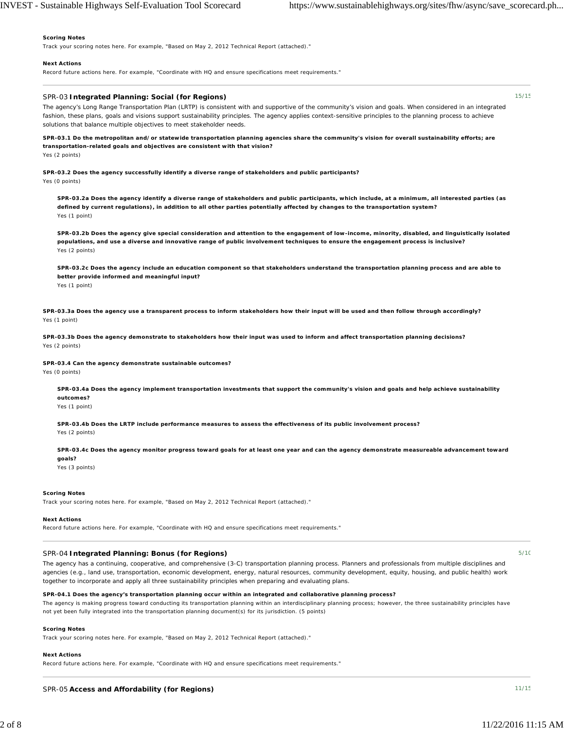#### **Scoring Notes**

Track your scoring notes here. For example, "Based on May 2, 2012 Technical Report (attached)."

#### **Next Actions**

Record future actions here. For example, "Coordinate with HQ and ensure specifications meet requirements."

## SPR-03 **Integrated Planning: Social (for Regions)**

The agency's Long Range Transportation Plan (LRTP) is consistent with and supportive of the community's vision and goals. When considered in an integrated fashion, these plans, goals and visions support sustainability principles. The agency applies context-sensitive principles to the planning process to achieve solutions that balance multiple objectives to meet stakeholder needs.

**SPR-03.1 Do the metropolitan and/or statewide transportation planning agencies share the community's vision for overall sustainability efforts; are transportation-related goals and objectives are consistent with that vision?** Yes (2 points)

**SPR-03.2 Does the agency successfully identify a diverse range of stakeholders and public participants?** Yes (0 points)

**SPR-03.2a Does the agency identify a diverse range of stakeholders and public participants, which include, at a minimum, all interested parties (as defined by current regulations), in addition to all other parties potentially affected by changes to the transportation system?** Yes (1 point)

**SPR-03.2b Does the agency give special consideration and attention to the engagement of low-income, minority, disabled, and linguistically isolated populations, and use a diverse and innovative range of public involvement techniques to ensure the engagement process is inclusive?** Yes (2 points)

**SPR-03.2c Does the agency include an education component so that stakeholders understand the transportation planning process and are able to better provide informed and meaningful input?** Yes (1 point)

**SPR-03.3a Does the agency use a transparent process to inform stakeholders how their input will be used and then follow through accordingly?** Yes (1 point)

**SPR-03.3b Does the agency demonstrate to stakeholders how their input was used to inform and affect transportation planning decisions?** Yes (2 points)

**SPR-03.4 Can the agency demonstrate sustainable outcomes?**

Yes (0 points)

**SPR-03.4a Does the agency implement transportation investments that support the community's vision and goals and help achieve sustainability outcomes?** Yes (1 point)

**SPR-03.4b Does the LRTP include performance measures to assess the effectiveness of its public involvement process?**

Yes (2 points)

**SPR-03.4c Does the agency monitor progress toward goals for at least one year and can the agency demonstrate measureable advancement toward goals?**

Yes (3 points)

#### **Scoring Notes**

Track your scoring notes here. For example, "Based on May 2, 2012 Technical Report (attached)."

#### **Next Actions**

Record future actions here. For example, "Coordinate with HQ and ensure specifications meet requirements."

#### SPR-04 **Integrated Planning: Bonus (for Regions)**

The agency has a continuing, cooperative, and comprehensive (3-C) transportation planning process. Planners and professionals from multiple disciplines and agencies (e.g., land use, transportation, economic development, energy, natural resources, community development, equity, housing, and public health) work together to incorporate and apply all three sustainability principles when preparing and evaluating plans.

## **SPR-04.1 Does the agency's transportation planning occur within an integrated and collaborative planning process?**

The agency is making progress toward conducting its transportation planning within an interdisciplinary planning process; however, the three sustainability principles have not yet been fully integrated into the transportation planning document(s) for its jurisdiction. (5 points)

#### **Scoring Notes**

Track your scoring notes here. For example, "Based on May 2, 2012 Technical Report (attached)."

## **Next Actions**

Record future actions here. For example, "Coordinate with HQ and ensure specifications meet requirements."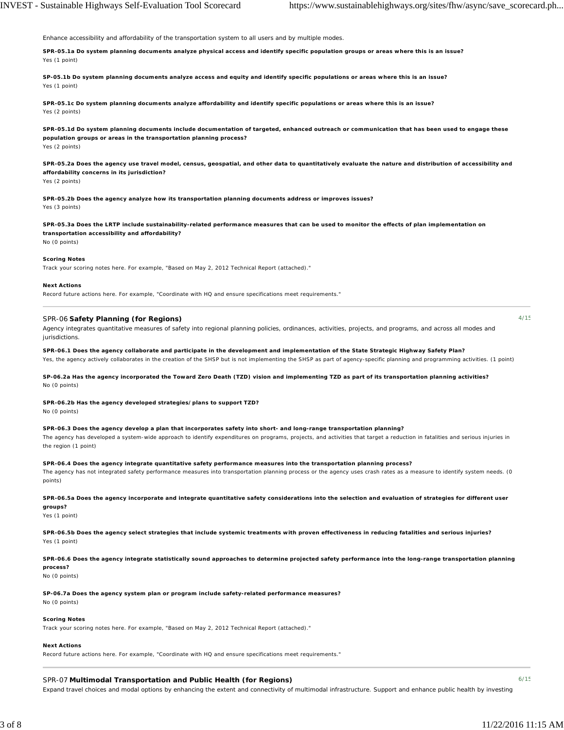Enhance accessibility and affordability of the transportation system to all users and by multiple modes.

**SPR-05.1a Do system planning documents analyze physical access and identify specific population groups or areas where this is an issue?** Yes (1 point)

**SP-05.1b Do system planning documents analyze access and equity and identify specific populations or areas where this is an issue?** Yes (1 point)

**SPR-05.1c Do system planning documents analyze affordability and identify specific populations or areas where this is an issue?** Yes (2 points)

**SPR-05.1d Do system planning documents include documentation of targeted, enhanced outreach or communication that has been used to engage these population groups or areas in the transportation planning process?** Yes (2 points)

**SPR-05.2a Does the agency use travel model, census, geospatial, and other data to quantitatively evaluate the nature and distribution of accessibility and affordability concerns in its jurisdiction?**

Yes (2 points)

**SPR-05.2b Does the agency analyze how its transportation planning documents address or improves issues?** Yes (3 points)

**SPR-05.3a Does the LRTP include sustainability-related performance measures that can be used to monitor the effects of plan implementation on transportation accessibility and affordability?** No (0 points)

## **Scoring Notes**

Track your scoring notes here. For example, "Based on May 2, 2012 Technical Report (attached)."

#### **Next Actions**

Record future actions here. For example, "Coordinate with HQ and ensure specifications meet requirements."

## SPR-06 **Safety Planning (for Regions)**

Agency integrates quantitative measures of safety into regional planning policies, ordinances, activities, projects, and programs, and across all modes and jurisdictions.

**SPR-06.1 Does the agency collaborate and participate in the development and implementation of the State Strategic Highway Safety Plan?**

Yes, the agency actively collaborates in the creation of the SHSP but is not implementing the SHSP as part of agency-specific planning and programming activities. (1 point)

**SP-06.2a Has the agency incorporated the Toward Zero Death (TZD) vision and implementing TZD as part of its transportation planning activities?** No (0 points)

# **SPR-06.2b Has the agency developed strategies/plans to support TZD?**

No (0 points)

**SPR-06.3 Does the agency develop a plan that incorporates safety into short- and long-range transportation planning?**

The agency has developed a system-wide approach to identify expenditures on programs, projects, and activities that target a reduction in fatalities and serious injuries in the region (1 point)

**SPR-06.4 Does the agency integrate quantitative safety performance measures into the transportation planning process?**

The agency has not integrated safety performance measures into transportation planning process or the agency uses crash rates as a measure to identify system needs. (0 points)

#### **SPR-06.5a Does the agency incorporate and integrate quantitative safety considerations into the selection and evaluation of strategies for different user groups?**

Yes (1 point)

**SPR-06.5b Does the agency select strategies that include systemic treatments with proven effectiveness in reducing fatalities and serious injuries?** Yes (1 point)

**SPR-06.6 Does the agency integrate statistically sound approaches to determine projected safety performance into the long-range transportation planning process?**

No (0 points)

**SP-06.7a Does the agency system plan or program include safety-related performance measures?**

No (0 points)

#### **Scoring Notes**

Track your scoring notes here. For example, "Based on May 2, 2012 Technical Report (attached)."

#### **Next Actions**

Record future actions here. For example, "Coordinate with HQ and ensure specifications meet requirements."

## SPR-07 **Multimodal Transportation and Public Health (for Regions)**

4/15

Expand travel choices and modal options by enhancing the extent and connectivity of multimodal infrastructure. Support and enhance public health by investing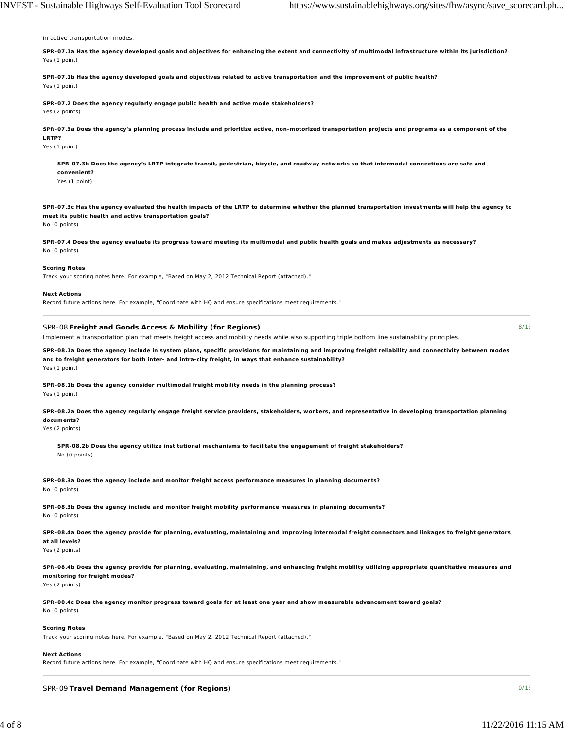in active transportation modes.

**SPR-07.1a Has the agency developed goals and objectives for enhancing the extent and connectivity of multimodal infrastructure within its jurisdiction?** Yes (1 point)

**SPR-07.1b Has the agency developed goals and objectives related to active transportation and the improvement of public health?** Yes (1 point)

**SPR-07.2 Does the agency regularly engage public health and active mode stakeholders?** Yes (2 points)

**SPR-07.3a Does the agency's planning process include and prioritize active, non-motorized transportation projects and programs as a component of the LRTP?**

Yes (1 point)

**SPR-07.3b Does the agency's LRTP integrate transit, pedestrian, bicycle, and roadway networks so that intermodal connections are safe and convenient?**

Yes (1 point)

**SPR-07.3c Has the agency evaluated the health impacts of the LRTP to determine whether the planned transportation investments will help the agency to meet its public health and active transportation goals?**

No (0 points)

**SPR-07.4 Does the agency evaluate its progress toward meeting its multimodal and public health goals and makes adjustments as necessary?** No (0 points)

#### **Scoring Notes**

Track your scoring notes here. For example, "Based on May 2, 2012 Technical Report (attached)."

#### **Next Actions**

Record future actions here. For example, "Coordinate with HQ and ensure specifications meet requirements."

## SPR-08 **Freight and Goods Access & Mobility (for Regions)**

Implement a transportation plan that meets freight access and mobility needs while also supporting triple bottom line sustainability principles.

**SPR-08.1a Does the agency include in system plans, specific provisions for maintaining and improving freight reliability and connectivity between modes and to freight generators for both inter- and intra-city freight, in ways that enhance sustainability?** Yes (1 point)

**SPR-08.1b Does the agency consider multimodal freight mobility needs in the planning process?** Yes (1 point)

**SPR-08.2a Does the agency regularly engage freight service providers, stakeholders, workers, and representative in developing transportation planning documents?**

Yes (2 points)

**SPR-08.2b Does the agency utilize institutional mechanisms to facilitate the engagement of freight stakeholders?** No (0 points)

**SPR-08.3a Does the agency include and monitor freight access performance measures in planning documents?** No (0 points)

**SPR-08.3b Does the agency include and monitor freight mobility performance measures in planning documents?** No (0 points)

**SPR-08.4a Does the agency provide for planning, evaluating, maintaining and improving intermodal freight connectors and linkages to freight generators at all levels?**

Yes (2 points)

**SPR-08.4b Does the agency provide for planning, evaluating, maintaining, and enhancing freight mobility utilizing appropriate quantitative measures and monitoring for freight modes?** Yes (2 points)

**SPR-08.4c Does the agency monitor progress toward goals for at least one year and show measurable advancement toward goals?** No (0 points)

## **Scoring Notes**

Track your scoring notes here. For example, "Based on May 2, 2012 Technical Report (attached)."

#### **Next Actions**

Record future actions here. For example, "Coordinate with HQ and ensure specifications meet requirements."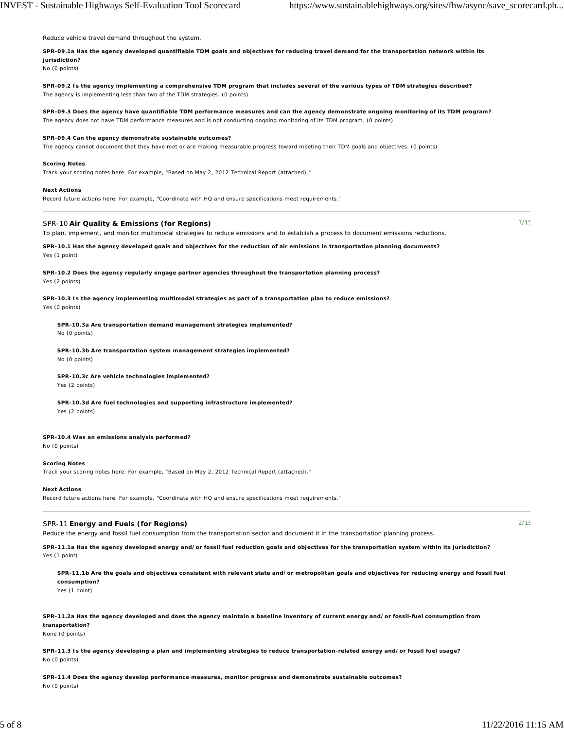Reduce vehicle travel demand throughout the system.

**SPR-09.1a Has the agency developed quantifiable TDM goals and objectives for reducing travel demand for the transportation network within its jurisdiction?**

No (0 points)

**SPR-09.2 Is the agency implementing a comprehensive TDM program that includes several of the various types of TDM strategies described?** The agency is implementing less than two of the TDM strategies. (0 points)

**SPR-09.3 Does the agency have quantifiable TDM performance measures and can the agency demonstrate ongoing monitoring of its TDM program?** The agency does not have TDM performance measures and is not conducting ongoing monitoring of its TDM program. (0 points)

#### **SPR-09.4 Can the agency demonstrate sustainable outcomes?**

The agency cannot document that they have met or are making measurable progress toward meeting their TDM goals and objectives. (0 points)

#### **Scoring Notes**

Track your scoring notes here. For example, "Based on May 2, 2012 Technical Report (attached)."

#### **Next Actions**

Record future actions here. For example, "Coordinate with HQ and ensure specifications meet requirements."

## SPR-10 **Air Quality & Emissions (for Regions)**

To plan, implement, and monitor multimodal strategies to reduce emissions and to establish a process to document emissions reductions.

**SPR-10.1 Has the agency developed goals and objectives for the reduction of air emissions in transportation planning documents?** Yes (1 point)

**SPR-10.2 Does the agency regularly engage partner agencies throughout the transportation planning process?** Yes (2 points)

**SPR-10.3 Is the agency implementing multimodal strategies as part of a transportation plan to reduce emissions?** Yes (0 points)

**SPR-10.3a Are transportation demand management strategies implemented?** No (0 points)

**SPR-10.3b Are transportation system management strategies implemented?** No (0 points)

**SPR-10.3c Are vehicle technologies implemented?** Yes (2 points)

**SPR-10.3d Are fuel technologies and supporting infrastructure implemented?** Yes (2 points)

## **SPR-10.4 Was an emissions analysis performed?**

No (0 points)

#### **Scoring Notes**

Track your scoring notes here. For example, "Based on May 2, 2012 Technical Report (attached)."

#### **Next Actions**

Record future actions here. For example, "Coordinate with HQ and ensure specifications meet requirements."

## SPR-11 **Energy and Fuels (for Regions)**

Reduce the energy and fossil fuel consumption from the transportation sector and document it in the transportation planning process.

**SPR-11.1a Has the agency developed energy and/or fossil fuel reduction goals and objectives for the transportation system within its jurisdiction?** Yes (1 point)

**SPR-11.1b Are the goals and objectives consistent with relevant state and/or metropolitan goals and objectives for reducing energy and fossil fuel consumption?** Yes (1 point)

**SPR-11.2a Has the agency developed and does the agency maintain a baseline inventory of current energy and/or fossil-fuel consumption from transportation?**

None (0 points)

**SPR-11.3 Is the agency developing a plan and implementing strategies to reduce transportation-related energy and/or fossil fuel usage?** No (0 points)

**SPR-11.4 Does the agency develop performance measures, monitor progress and demonstrate sustainable outcomes?** No (0 points)

 $2/15$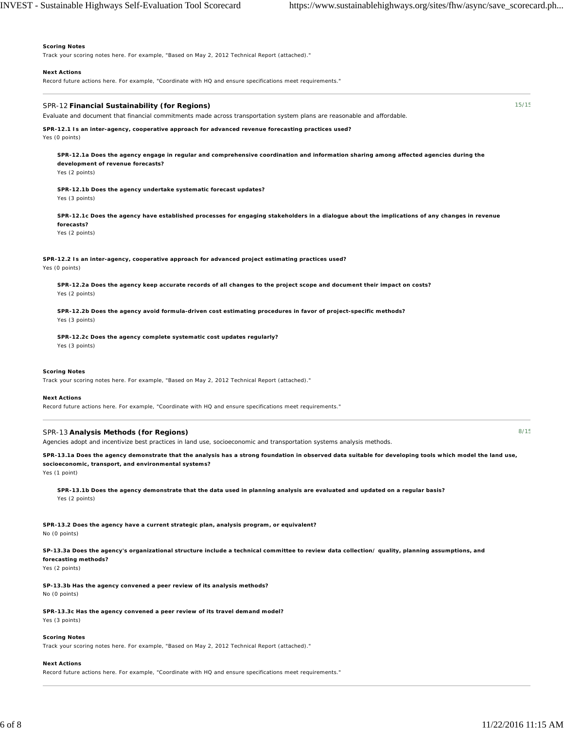#### **Scoring Notes**

Track your scoring notes here. For example, "Based on May 2, 2012 Technical Report (attached)."

#### **Next Actions**

Record future actions here. For example, "Coordinate with HQ and ensure specifications meet requirements."

### SPR-12 **Financial Sustainability (for Regions)**

Evaluate and document that financial commitments made across transportation system plans are reasonable and affordable.

**SPR-12.1 Is an inter-agency, cooperative approach for advanced revenue forecasting practices used?** Yes (0 points)

**SPR-12.1a Does the agency engage in regular and comprehensive coordination and information sharing among affected agencies during the development of revenue forecasts?**

Yes (2 points)

**SPR-12.1b Does the agency undertake systematic forecast updates?** Yes (3 points)

**SPR-12.1c Does the agency have established processes for engaging stakeholders in a dialogue about the implications of any changes in revenue forecasts?**

Yes (2 points)

**SPR-12.2 Is an inter-agency, cooperative approach for advanced project estimating practices used?** Yes (0 points)

**SPR-12.2a Does the agency keep accurate records of all changes to the project scope and document their impact on costs?** Yes (2 points)

**SPR-12.2b Does the agency avoid formula-driven cost estimating procedures in favor of project-specific methods?** Yes (3 points)

**SPR-12.2c Does the agency complete systematic cost updates regularly?** Yes (3 points)

#### **Scoring Notes**

Track your scoring notes here. For example, "Based on May 2, 2012 Technical Report (attached)."

#### **Next Actions**

Record future actions here. For example, "Coordinate with HQ and ensure specifications meet requirements."

### SPR-13 **Analysis Methods (for Regions)**

Agencies adopt and incentivize best practices in land use, socioeconomic and transportation systems analysis methods.

**SPR-13.1a Does the agency demonstrate that the analysis has a strong foundation in observed data suitable for developing tools which model the land use, socioeconomic, transport, and environmental systems?**

Yes (1 point)

**SPR-13.1b Does the agency demonstrate that the data used in planning analysis are evaluated and updated on a regular basis?** Yes (2 points)

**SPR-13.2 Does the agency have a current strategic plan, analysis program, or equivalent?** No (0 points)

**SP-13.3a Does the agency's organizational structure include a technical committee to review data collection/ quality, planning assumptions, and forecasting methods?**

Yes (2 points)

**SP-13.3b Has the agency convened a peer review of its analysis methods?** No (0 points)

**SPR-13.3c Has the agency convened a peer review of its travel demand model?** Yes (3 points)

## **Scoring Notes**

Track your scoring notes here. For example, "Based on May 2, 2012 Technical Report (attached)."

#### **Next Actions**

Record future actions here. For example, "Coordinate with HQ and ensure specifications meet requirements."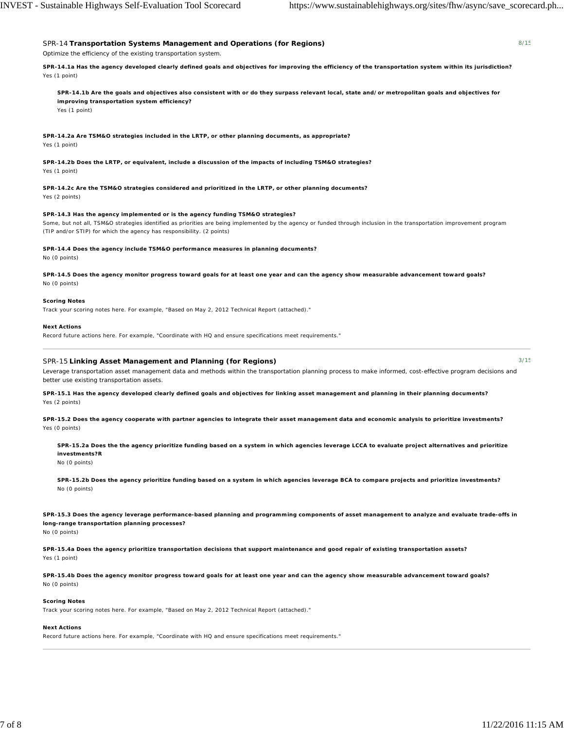3/15

# SPR-14 **Transportation Systems Management and Operations (for Regions)** Optimize the efficiency of the existing transportation system.

**SPR-14.1a Has the agency developed clearly defined goals and objectives for improving the efficiency of the transportation system within its jurisdiction?** Yes (1 point)

**SPR-14.1b Are the goals and objectives also consistent with or do they surpass relevant local, state and/or metropolitan goals and objectives for improving transportation system efficiency?** Yes (1 point)

**SPR-14.2a Are TSM&O strategies included in the LRTP, or other planning documents, as appropriate?** Yes (1 point)

**SPR-14.2b Does the LRTP, or equivalent, include a discussion of the impacts of including TSM&O strategies?** Yes (1 point)

**SPR-14.2c Are the TSM&O strategies considered and prioritized in the LRTP, or other planning documents?** Yes (2 points)

**SPR-14.3 Has the agency implemented or is the agency funding TSM&O strategies?**

Some, but not all, TSM&O strategies identified as priorities are being implemented by the agency or funded through inclusion in the transportation improvement program (TIP and/or STIP) for which the agency has responsibility. (2 points)

## **SPR-14.4 Does the agency include TSM&O performance measures in planning documents?**

No (0 points)

**SPR-14.5 Does the agency monitor progress toward goals for at least one year and can the agency show measurable advancement toward goals?** No (0 points)

## **Scoring Notes**

Track your scoring notes here. For example, "Based on May 2, 2012 Technical Report (attached)."

## **Next Actions**

Record future actions here. For example, "Coordinate with HQ and ensure specifications meet requirements."

## SPR-15 **Linking Asset Management and Planning (for Regions)**

Leverage transportation asset management data and methods within the transportation planning process to make informed, cost-effective program decisions and better use existing transportation assets.

**SPR-15.1 Has the agency developed clearly defined goals and objectives for linking asset management and planning in their planning documents?** Yes (2 points)

**SPR-15.2 Does the agency cooperate with partner agencies to integrate their asset management data and economic analysis to prioritize investments?** Yes (0 points)

**SPR-15.2a Does the the agency prioritize funding based on a system in which agencies leverage LCCA to evaluate project alternatives and prioritize investments?R** No (0 points)

**SPR-15.2b Does the agency prioritize funding based on a system in which agencies leverage BCA to compare projects and prioritize investments?** No (0 points)

**SPR-15.3 Does the agency leverage performance-based planning and programming components of asset management to analyze and evaluate trade-offs in long-range transportation planning processes?** No (0 points)

**SPR-15.4a Does the agency prioritize transportation decisions that support maintenance and good repair of existing transportation assets?** Yes (1 point)

**SPR-15.4b Does the agency monitor progress toward goals for at least one year and can the agency show measurable advancement toward goals?** No (0 points)

## **Scoring Notes**

Track your scoring notes here. For example, "Based on May 2, 2012 Technical Report (attached)."

## **Next Actions**

Record future actions here. For example, "Coordinate with HQ and ensure specifications meet requirements."